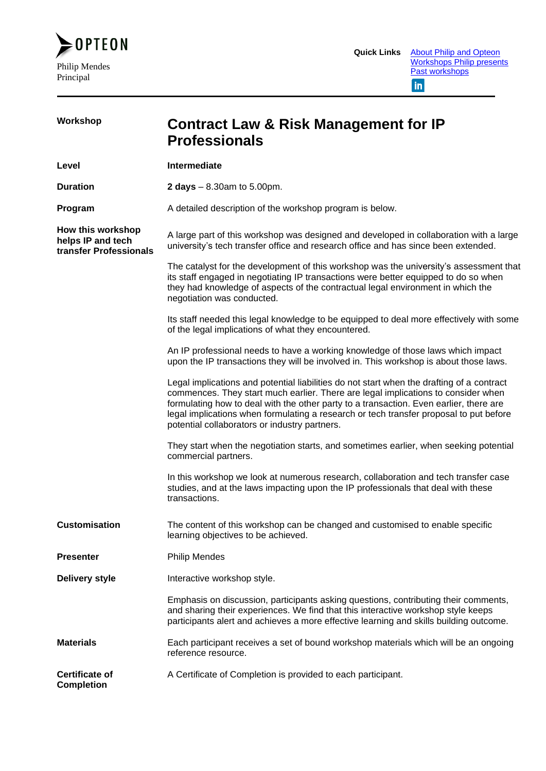

| Workshop                                                         | <b>Contract Law &amp; Risk Management for IP</b><br><b>Professionals</b>                                                                                                                                                                                                                                                                                                                                            |
|------------------------------------------------------------------|---------------------------------------------------------------------------------------------------------------------------------------------------------------------------------------------------------------------------------------------------------------------------------------------------------------------------------------------------------------------------------------------------------------------|
| Level                                                            | Intermediate                                                                                                                                                                                                                                                                                                                                                                                                        |
| <b>Duration</b>                                                  | <b>2 days</b> $- 8.30$ am to 5.00pm.                                                                                                                                                                                                                                                                                                                                                                                |
| Program                                                          | A detailed description of the workshop program is below.                                                                                                                                                                                                                                                                                                                                                            |
| How this workshop<br>helps IP and tech<br>transfer Professionals | A large part of this workshop was designed and developed in collaboration with a large<br>university's tech transfer office and research office and has since been extended.                                                                                                                                                                                                                                        |
|                                                                  | The catalyst for the development of this workshop was the university's assessment that<br>its staff engaged in negotiating IP transactions were better equipped to do so when<br>they had knowledge of aspects of the contractual legal environment in which the<br>negotiation was conducted.                                                                                                                      |
|                                                                  | Its staff needed this legal knowledge to be equipped to deal more effectively with some<br>of the legal implications of what they encountered.                                                                                                                                                                                                                                                                      |
|                                                                  | An IP professional needs to have a working knowledge of those laws which impact<br>upon the IP transactions they will be involved in. This workshop is about those laws.                                                                                                                                                                                                                                            |
|                                                                  | Legal implications and potential liabilities do not start when the drafting of a contract<br>commences. They start much earlier. There are legal implications to consider when<br>formulating how to deal with the other party to a transaction. Even earlier, there are<br>legal implications when formulating a research or tech transfer proposal to put before<br>potential collaborators or industry partners. |
|                                                                  | They start when the negotiation starts, and sometimes earlier, when seeking potential<br>commercial partners.                                                                                                                                                                                                                                                                                                       |
|                                                                  | In this workshop we look at numerous research, collaboration and tech transfer case<br>studies, and at the laws impacting upon the IP professionals that deal with these<br>transactions.                                                                                                                                                                                                                           |
| <b>Customisation</b>                                             | The content of this workshop can be changed and customised to enable specific<br>learning objectives to be achieved.                                                                                                                                                                                                                                                                                                |
| <b>Presenter</b>                                                 | <b>Philip Mendes</b>                                                                                                                                                                                                                                                                                                                                                                                                |
| <b>Delivery style</b>                                            | Interactive workshop style.                                                                                                                                                                                                                                                                                                                                                                                         |
|                                                                  | Emphasis on discussion, participants asking questions, contributing their comments,<br>and sharing their experiences. We find that this interactive workshop style keeps<br>participants alert and achieves a more effective learning and skills building outcome.                                                                                                                                                  |
| <b>Materials</b>                                                 | Each participant receives a set of bound workshop materials which will be an ongoing<br>reference resource.                                                                                                                                                                                                                                                                                                         |
| <b>Certificate of</b><br><b>Completion</b>                       | A Certificate of Completion is provided to each participant.                                                                                                                                                                                                                                                                                                                                                        |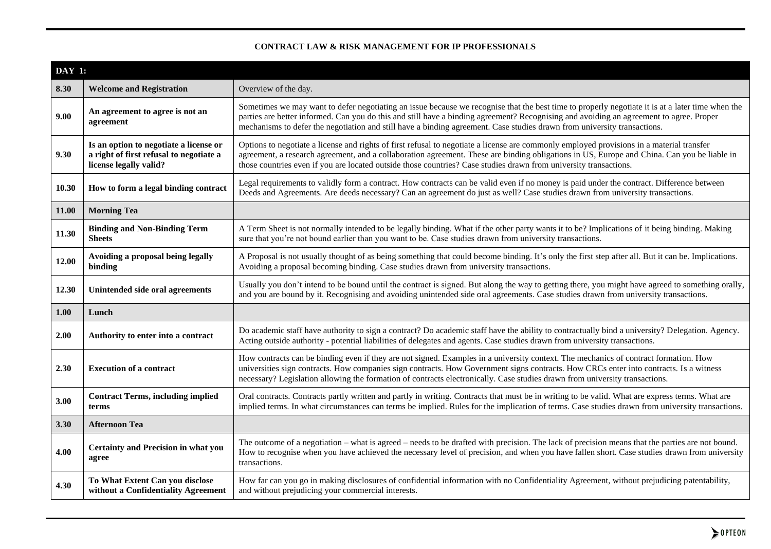## **CONTRACT LAW & RISK MANAGEMENT FOR IP PROFESSIONALS**

|       | <b>DAY 1:</b>                                                                                               |                                                                                                                                                                                                                                                                                                                                                                                                                         |  |
|-------|-------------------------------------------------------------------------------------------------------------|-------------------------------------------------------------------------------------------------------------------------------------------------------------------------------------------------------------------------------------------------------------------------------------------------------------------------------------------------------------------------------------------------------------------------|--|
| 8.30  | <b>Welcome and Registration</b>                                                                             | Overview of the day.                                                                                                                                                                                                                                                                                                                                                                                                    |  |
| 9.00  | An agreement to agree is not an<br>agreement                                                                | Sometimes we may want to defer negotiating an issue because we recognise that the best time to properly negotiate it is at a later time when the<br>parties are better informed. Can you do this and still have a binding agreement? Recognising and avoiding an agreement to agree. Proper<br>mechanisms to defer the negotiation and still have a binding agreement. Case studies drawn from university transactions. |  |
| 9.30  | Is an option to negotiate a license or<br>a right of first refusal to negotiate a<br>license legally valid? | Options to negotiate a license and rights of first refusal to negotiate a license are commonly employed provisions in a material transfer<br>agreement, a research agreement, and a collaboration agreement. These are binding obligations in US, Europe and China. Can you be liable in<br>those countries even if you are located outside those countries? Case studies drawn from university transactions.           |  |
| 10.30 | How to form a legal binding contract                                                                        | Legal requirements to validly form a contract. How contracts can be valid even if no money is paid under the contract. Difference between<br>Deeds and Agreements. Are deeds necessary? Can an agreement do just as well? Case studies drawn from university transactions.                                                                                                                                              |  |
| 11.00 | <b>Morning Tea</b>                                                                                          |                                                                                                                                                                                                                                                                                                                                                                                                                         |  |
| 11.30 | <b>Binding and Non-Binding Term</b><br><b>Sheets</b>                                                        | A Term Sheet is not normally intended to be legally binding. What if the other party wants it to be? Implications of it being binding. Making<br>sure that you're not bound earlier than you want to be. Case studies drawn from university transactions.                                                                                                                                                               |  |
| 12.00 | Avoiding a proposal being legally<br>binding                                                                | A Proposal is not usually thought of as being something that could become binding. It's only the first step after all. But it can be. Implications.<br>Avoiding a proposal becoming binding. Case studies drawn from university transactions.                                                                                                                                                                           |  |
| 12.30 | Unintended side oral agreements                                                                             | Usually you don't intend to be bound until the contract is signed. But along the way to getting there, you might have agreed to something orally,<br>and you are bound by it. Recognising and avoiding unintended side oral agreements. Case studies drawn from university transactions.                                                                                                                                |  |
| 1.00  | Lunch                                                                                                       |                                                                                                                                                                                                                                                                                                                                                                                                                         |  |
| 2.00  | Authority to enter into a contract                                                                          | Do academic staff have authority to sign a contract? Do academic staff have the ability to contractually bind a university? Delegation. Agency.<br>Acting outside authority - potential liabilities of delegates and agents. Case studies drawn from university transactions.                                                                                                                                           |  |
| 2.30  | <b>Execution of a contract</b>                                                                              | How contracts can be binding even if they are not signed. Examples in a university context. The mechanics of contract formation. How<br>universities sign contracts. How companies sign contracts. How Government signs contracts. How CRCs enter into contracts. Is a witness<br>necessary? Legislation allowing the formation of contracts electronically. Case studies drawn from university transactions.           |  |
| 3.00  | <b>Contract Terms, including implied</b><br>terms                                                           | Oral contracts. Contracts partly written and partly in writing. Contracts that must be in writing to be valid. What are express terms. What are<br>implied terms. In what circumstances can terms be implied. Rules for the implication of terms. Case studies drawn from university transactions.                                                                                                                      |  |
| 3.30  | <b>Afternoon Tea</b>                                                                                        |                                                                                                                                                                                                                                                                                                                                                                                                                         |  |
| 4.00  | <b>Certainty and Precision in what you</b><br>agree                                                         | The outcome of a negotiation – what is agreed – needs to be drafted with precision. The lack of precision means that the parties are not bound.<br>How to recognise when you have achieved the necessary level of precision, and when you have fallen short. Case studies drawn from university<br>transactions.                                                                                                        |  |
| 4.30  | To What Extent Can you disclose<br>without a Confidentiality Agreement                                      | How far can you go in making disclosures of confidential information with no Confidentiality Agreement, without prejudicing patentability,<br>and without prejudicing your commercial interests.                                                                                                                                                                                                                        |  |